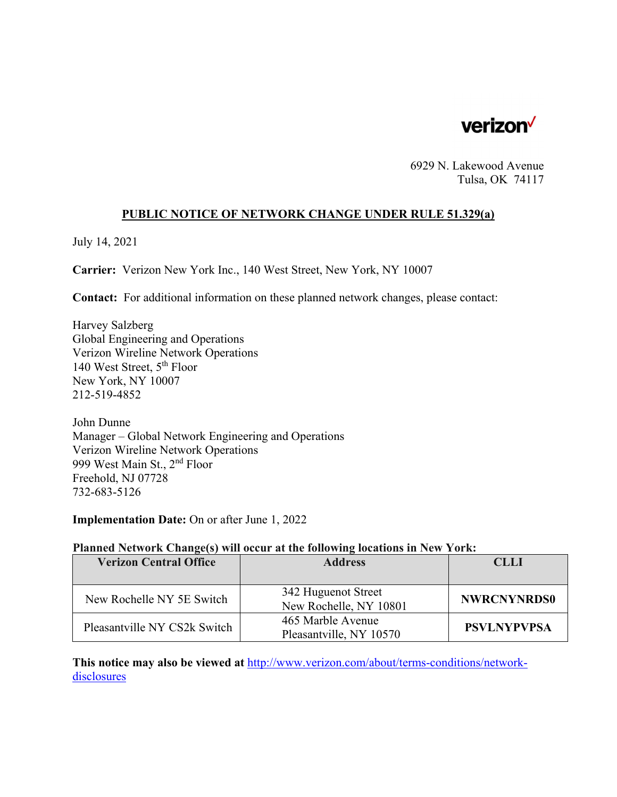

6929 N. Lakewood Avenue Tulsa, OK 74117

### **PUBLIC NOTICE OF NETWORK CHANGE UNDER RULE 51.329(a)**

July 14, 2021

**Carrier:** Verizon New York Inc., 140 West Street, New York, NY 10007

**Contact:** For additional information on these planned network changes, please contact:

Harvey Salzberg Global Engineering and Operations Verizon Wireline Network Operations 140 West Street, 5th Floor New York, NY 10007 212-519-4852

John Dunne Manager – Global Network Engineering and Operations Verizon Wireline Network Operations 999 West Main St., 2nd Floor Freehold, NJ 07728 732-683-5126

**Implementation Date:** On or after June 1, 2022

#### **Planned Network Change(s) will occur at the following locations in New York:**

| <b>Verizon Central Office</b> | <b>Address</b>                                | <b>CLLI</b>        |
|-------------------------------|-----------------------------------------------|--------------------|
|                               |                                               |                    |
| New Rochelle NY 5E Switch     | 342 Huguenot Street<br>New Rochelle, NY 10801 | <b>NWRCNYNRDS0</b> |
| Pleasantville NY CS2k Switch  | 465 Marble Avenue<br>Pleasantville, NY 10570  | <b>PSVLNYPVPSA</b> |

**This notice may also be viewed at** http://www.verizon.com/about/terms-conditions/networkdisclosures